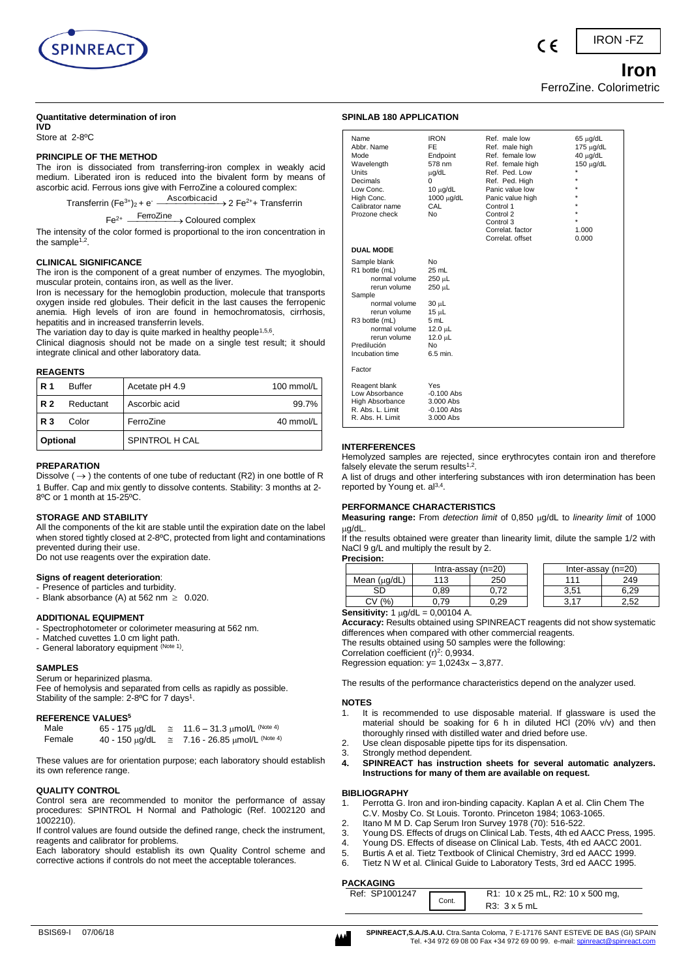

### **Quantitative determination of iron**

**IVD** Store at 2-8ºC

### **PRINCIPLE OF THE METHOD**

The iron is dissociated from transferring-iron complex in weakly acid medium. Liberated iron is reduced into the bivalent form by means of ascorbic acid. Ferrous ions give with FerroZine a coloured complex:

Transferrin (Fe<sup>3+</sup>)<sub>2</sub> + e<sup>-</sup> Ascorbicacid > 2 Fe<sup>2+</sup>+ Transferrin

Fe2+ FerroZine Coloured complex

The intensity of the color formed is proportional to the iron concentration in the sample<sup> $1,2$ </sup>.

### **CLINICAL SIGNIFICANCE**

The iron is the component of a great number of enzymes. The myoglobin, muscular protein, contains iron, as well as the liver.

Iron is necessary for the hemoglobin production, molecule that transports oxygen inside red globules. Their deficit in the last causes the ferropenic anemia. High levels of iron are found in hemochromatosis, cirrhosis, hepatitis and in increased transferrin levels.

The variation day to day is quite marked in healthy people<sup>1,5,6</sup>.

Clinical diagnosis should not be made on a single test result; it should integrate clinical and other laboratory data.

### **REAGENTS**

| R 1                    | <b>Buffer</b> | Acetate pH 4.9         | 100 mmol/L |
|------------------------|---------------|------------------------|------------|
| <b>R2</b><br>Reductant |               | Ascorbic acid          | 99.7%      |
| <b>R3</b><br>Color     |               | FerroZine<br>40 mmol/L |            |
| Optional               |               | SPINTROL H CAL         |            |

### **PREPARATION**

Dissolve ( $\rightarrow$ ) the contents of one tube of reductant (R2) in one bottle of R 1 Buffer. Cap and mix gently to dissolve contents. Stability: 3 months at 2- 8ºC or 1 month at 15-25ºC.

### **STORAGE AND STABILITY**

All the components of the kit are stable until the expiration date on the label when stored tightly closed at 2-8ºC, protected from light and contaminations prevented during their use.

Do not use reagents over the expiration date.

### **Signs of reagent deterioration**:

- Presence of particles and turbidity.
- Blank absorbance (A) at 562 nm  $\geq$  0.020.

# **ADDITIONAL EQUIPMENT**

- Spectrophotometer or colorimeter measuring at 562 nm.
- Matched cuvettes 1.0 cm light path.
- General laboratory equipment (Note 1).

### **SAMPLES**

Serum or heparinized plasma.

Fee of hemolysis and separated from cells as rapidly as possible. Stability of the sample: 2-8°C for 7 days<sup>1</sup>.

### **REFERENCE VALUES<sup>5</sup>**

| Male   | $65 - 175 \mu g/dL$ | $\approx$ | 11.6 – 31.3 $\mu$ mol/L <sup>(Note 4)</sup> |
|--------|---------------------|-----------|---------------------------------------------|
| Female | $40 - 150 \mu g/dL$ |           | 7.16 - 26.85 µmol/L <sup>(Note 4)</sup>     |

These values are for orientation purpose; each laboratory should establish its own reference range.

### **QUALITY CONTROL**

Control sera are recommended to monitor the performance of assay procedures: SPINTROL H Normal and Pathologic (Ref. 1002120 and 1002210).

If control values are found outside the defined range, check the instrument, reagents and calibrator for problems.

Each laboratory should establish its own Quality Control scheme and corrective actions if controls do not meet the acceptable tolerances.

| Abbr. Name                 | FE            | Ref. male high   | 175 μg/dL      |
|----------------------------|---------------|------------------|----------------|
| Mode                       | Endpoint      | Ref. female low  | $40 \mu q/dL$  |
| Wavelength                 | 578 nm        | Ref. female high | $150 \mu g/dL$ |
| Units                      | µg/dL         | Ref. Ped. Low    | $\star$        |
| Decimals                   | 0             | Ref. Ped. High   | $\star$        |
| Low Conc.                  | $10 \mu q/dL$ | Panic value low  | $\star$        |
| High Conc.                 | 1000 μg/dL    | Panic value high | $\star$        |
| Calibrator name            | CAL           | Control 1        | $\star$        |
| Prozone check              | No            | Control 2        | $\star$        |
|                            |               | Control 3        | *              |
|                            |               | Correlat, factor | 1.000          |
|                            |               | Correlat, offset | 0.000          |
| <b>DUAL MODE</b>           |               |                  |                |
| Sample blank               | No            |                  |                |
| R <sub>1</sub> bottle (mL) | 25 mL         |                  |                |
| normal volume              | 250 µL        |                  |                |
| rerun volume               | 250 µL        |                  |                |
| Sample                     |               |                  |                |
| normal volume              | $30 \mu L$    |                  |                |
| rerun volume               | $15 \mu L$    |                  |                |
| R <sub>3</sub> bottle (mL) | 5 mL          |                  |                |
| normal volume              | 12 O I        |                  |                |

 $12.0 \text{ }\mu\text{L}$ 

Name IRON Ref. male low 65 μg/dL

### **INTERFERENCES** Hemolyzed samples are rejected, since erythrocytes contain iron and therefore

rerun volume enteral<br>
Predilución ime de Nomin.<br>
Incubation time de 6.5 min.

Reagent blank Yes<br>
I ow Absorbance -0.100 Abs Low Absorbance -0.100 Abs<br>High Absorbance 3.000 Abs High Absorbance 3.000 Abs<br>R Abs L Limit -0.100 Abs R. Abs. L. Limit -0.100 Abs<br>R. Abs. H. Limit 3.000 Abs

Incubation time Factor

R. Abs. E. Limit

**SPINLAB 180 APPLICATION** 

falsely elevate the serum results $1,2$ . A list of drugs and other interfering substances with iron determination has been reported by Young et. al<sup>3,4</sup>.

### **PERFORMANCE CHARACTERISTICS**

**Measuring range:** From *detection limit* of 0,850 µg/dL to *linearity limit* of 1000 ua/dL.

If the results obtained were greater than linearity limit, dilute the sample 1/2 with NaCl 9 g/L and multiply the result by 2.

**Precision:**

|                   | Intra-assay $(n=20)$ |      |  | Inter-assay (n=20) |      |
|-------------------|----------------------|------|--|--------------------|------|
| Mean $(\mu g/dL)$ | 113                  | 250  |  | 111                | 249  |
|                   | 0.89                 |      |  | 3,51               | 6.29 |
| (% )<br>Ĵ٧        |                      | ა.29 |  | 2.17               | 2.52 |

**Sensitivity:**  $1 \mu g/dL = 0,00104$  A.

**Accuracy:** Results obtained using SPINREACT reagents did not show systematic differences when compared with other commercial reagents.

The results obtained using 50 samples were the following:

Correlation coefficient  $(r)^2$ : 0,9934.

Regression equation:  $y= 1,0243x - 3,877$ .

The results of the performance characteristics depend on the analyzer used.

### **NOTES**

- 1. It is recommended to use disposable material. If glassware is used the material should be soaking for 6 h in diluted HCl (20% v/v) and then thoroughly rinsed with distilled water and dried before use.
- 2. Use clean disposable pipette tips for its dispensation.
- 3. Strongly method dependent.
- **4. SPINREACT has instruction sheets for several automatic analyzers. Instructions for many of them are available on request.**

### **BIBLIOGRAPHY**

- 1. Perrotta G. Iron and iron-binding capacity. Kaplan A et al. Clin Chem The C.V. Mosby Co. St Louis. Toronto. Princeton 1984; 1063-1065.
- 2. Itano M M D. Cap Serum Iron Survey 1978 (70): 516-522.
- 3. Young DS. Effects of drugs on Clinical Lab. Tests, 4th ed AACC Press, 1995.
- 4. Young DS. Effects of disease on Clinical Lab. Tests, 4th ed AACC 2001.
	- 5. Burtis A et al. Tietz Textbook of Clinical Chemistry, 3rd ed AACC 1999.
- 6. Tietz N W et al. Clinical Guide to Laboratory Tests, 3rd ed AACC 1995.

# **PACKAGING**

| יייישרערי      |       |                                  |  |  |  |
|----------------|-------|----------------------------------|--|--|--|
| Ref: SP1001247 |       | R1: 10 x 25 mL, R2: 10 x 500 mg, |  |  |  |
|                | Cont. | $R3:3\times 5mL$                 |  |  |  |



FerroZine. Colorimetric

 *Iron* 

 $\epsilon$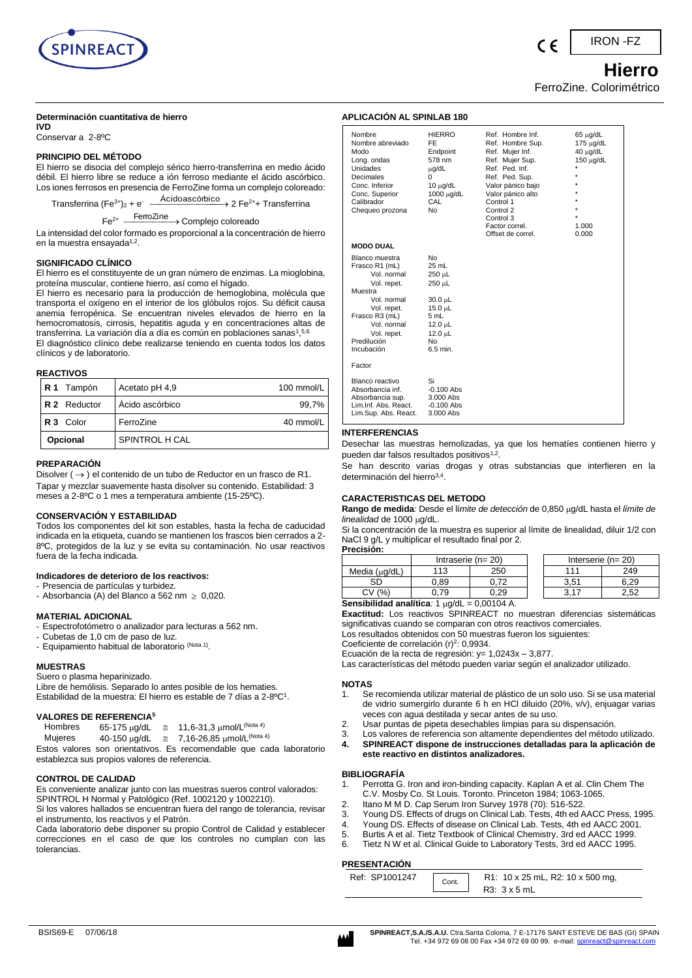

### **Determinación cuantitativa de hierro**

**IVD** Conservar a 2-8ºC

## **PRINCIPIO DEL MÉTODO**

El hierro se disocia del complejo sérico hierro-transferrina en medio ácido débil. El hierro libre se reduce a ión ferroso mediante el ácido ascórbico. Los iones ferrosos en presencia de FerroZine forma un complejo coloreado:

Transferrina (Fe<sup>3+</sup>)<sub>2</sub> + e<sup>-</sup> Acidoascórbico → 2 Fe<sup>2+</sup>+ Transferrina

Fe<sup>2+</sup> <sup>FerroZine</sup> > Complejo coloreado

La intensidad del color formado es proporcional a la concentración de hierro en la muestra ensayada<sup>1,2</sup>.

### **SIGNIFICADO CLÍNICO**

El hierro es el constituyente de un gran número de enzimas. La mioglobina, proteína muscular, contiene hierro, así como el hígado.

El hierro es necesario para la producción de hemoglobina, molécula que transporta el oxígeno en el interior de los glóbulos rojos. Su déficit causa anemia ferropénica. Se encuentran niveles elevados de hierro en la hemocromatosis, cirrosis, hepatitis aguda y en concentraciones altas de transferrina. La variación día a día es común en poblaciones sanas1,5,6. El diagnóstico clínico debe realizarse teniendo en cuenta todos los datos clínicos y de laboratorio.

### **REACTIVOS**

| R <sub>1</sub> Tampón | Acetato pH 4,9  | 100 mmol/L |
|-----------------------|-----------------|------------|
| <b>R2</b> Reductor    | Acido ascórbico | 99,7%      |
| R 3 Color             | FerroZine       | 40 mmol/L  |
| Opcional              | SPINTROL H CAL  |            |

### **PREPARACIÓN**

Disolver ( $\rightarrow$  ) el contenido de un tubo de Reductor en un frasco de R1. Tapar y mezclar suavemente hasta disolver su contenido. Estabilidad: 3 meses a 2-8ºC o 1 mes a temperatura ambiente (15-25ºC).

## **CONSERVACIÓN Y ESTABILIDAD**

Todos los componentes del kit son estables, hasta la fecha de caducidad indicada en la etiqueta, cuando se mantienen los frascos bien cerrados a 2- 8ºC, protegidos de la luz y se evita su contaminación. No usar reactivos fuera de la fecha indicada.

### **Indicadores de deterioro de los reactivos:**

- Presencia de partículas y turbidez.
- Absorbancia (A) del Blanco a 562 nm  $\geq 0,020$ .

# **MATERIAL ADICIONAL**

- Espectrofotómetro o analizador para lecturas a 562 nm.
- Cubetas de 1,0 cm de paso de luz.
- Equipamiento habitual de laboratorio (Nota 1).

### **MUESTRAS**

Suero o plasma heparinizado.

Libre de hemólisis. Separado lo antes posible de los hematies. Estabilidad de la muestra: El hierro es estable de 7 días a 2-8°C<sup>1</sup>.

# **VALORES DE REFERENCIA<sup>5</sup>**

| Hombres | 65-175 µg/dL | $\approx$ 11,6-31,3 μmol/L <sup>(Nota 4)</sup>                  |
|---------|--------------|-----------------------------------------------------------------|
| Mujeres | 40-150 μg/dL | $~\cong$ 7,16-26,85 μmol/L <sup>(Nota 4)</sup>                  |
|         |              | Estos valores son orientativos. Es recomendable que cada labora |

le que cada laboratorio establezca sus propios valores de referencia.

### **CONTROL DE CALIDAD**

Es conveniente analizar junto con las muestras sueros control valorados: SPINTROL H Normal y Patológico (Ref. 1002120 y 1002210).

Si los valores hallados se encuentran fuera del rango de tolerancia, revisar el instrumento, los reactivos y el Patrón.

Cada laboratorio debe disponer su propio Control de Calidad y establecer correcciones en el caso de que los controles no cumplan con las tolerancias.

# **APLICACIÓN AL SPINLAB 180** Nombre HIERRO Ref. Hombre Inf. 65 µg/dL

| Nombre abreviado<br>Modo<br>Long. ondas<br>Unidades<br>Decimales<br>Conc. Inferior<br>Conc. Superior<br>Calibrador<br>Chequeo prozona                                                | FE<br>Endpoint<br>578 nm<br>µg/dL<br>0<br>$10 \mu g/dL$<br>1000 µg/dL<br>CAL<br>No                                   | Ref. Hombre Sup.<br>Ref. Mujer Inf.<br>Ref. Mujer Sup.<br>Ref. Ped. Inf.<br>Ref. Ped. Sup.<br>Valor pánico bajo<br>Valor pánico alto<br>Control 1<br>Control 2<br>Control 3<br>Factor correl.<br>Offset de correl. | 175 μg/dL<br>$40 \mu g/dL$<br>$150 \mu q/dL$<br>$\star$<br>$\star$<br>$\star$<br>1.000<br>0.000 |
|--------------------------------------------------------------------------------------------------------------------------------------------------------------------------------------|----------------------------------------------------------------------------------------------------------------------|--------------------------------------------------------------------------------------------------------------------------------------------------------------------------------------------------------------------|-------------------------------------------------------------------------------------------------|
| <b>MODO DUAL</b>                                                                                                                                                                     |                                                                                                                      |                                                                                                                                                                                                                    |                                                                                                 |
| Blanco muestra<br>Frasco R1 (mL)<br>Vol. normal<br>Vol. repet.<br>Muestra<br>Vol. normal<br>Vol. repet.<br>Frasco R3 (mL)<br>Vol. normal<br>Vol. repet.<br>Predilución<br>Incubación | No<br>25 mL<br>250 µL<br>250 µL<br>30.0 µL<br>$15.0 \mu L$<br>5 mL<br>$12.0 \mu L$<br>$12.0 \mu L$<br>No<br>6.5 min. |                                                                                                                                                                                                                    |                                                                                                 |
| Factor                                                                                                                                                                               |                                                                                                                      |                                                                                                                                                                                                                    |                                                                                                 |
| Blanco reactivo<br>Absorbancia inf.<br>Absorbancia sup.<br>Lim.Inf. Abs. React.<br>Lim.Sup. Abs. React.                                                                              | Si<br>$-0.100$ Abs<br>3.000 Abs<br>$-0.100$ Abs<br>3.000 Abs                                                         |                                                                                                                                                                                                                    |                                                                                                 |

### **INTERFERENCIAS**

Desechar las muestras hemolizadas, ya que los hematíes contienen hierro y pueden dar falsos resultados positivos<sup>1,2</sup>.

Se han descrito varias drogas y otras substancias que interfieren en la determinación del hierro<sup>3,4</sup>.

### **CARACTERISTICAS DEL METODO**

Rango de medida*:* Desde el límite de detección de 0,850 µg/dL hasta el límite de *linealidad* de 1000 µg/dL.

Si la concentración de la muestra es superior al límite de linealidad, diluir 1/2 con NaCl 9 g/L y multiplicar el resultado final por 2. **Precisión:**

| 156131011.         |                     |      |  |                         |      |
|--------------------|---------------------|------|--|-------------------------|------|
|                    | Intraserie $(n=20)$ |      |  | Interserie ( $n = 20$ ) |      |
| Media $(\mu g/dL)$ | 113                 | 250  |  | 111                     | 249  |
| SD                 | 0.89                | 0.72 |  | 3.51                    | 6.29 |
| (% )<br>CV         | .79                 | .29  |  |                         | 2.52 |

**Sensibilidad analítica**:  $1 \mu g/dL = 0,00104$  A. **Exactitud:** Los reactivos SPINREACT no muestran diferencias sistemáticas significativas cuando se comparan con otros reactivos comerciales.

Los resultados obtenidos con 50 muestras fueron los siguientes:

Coeficiente de correlación (r)<sup>2</sup>: 0,9934.

Ecuación de la recta de regresión: y= 1,0243x – 3,877.

Las características del método pueden variar según el analizador utilizado.

### **NOTAS**

- 1. Se recomienda utilizar material de plástico de un solo uso. Si se usa material de vidrio sumergirlo durante 6 h en HCl diluido (20%, v/v), enjuagar varias veces con agua destilada y secar antes de su uso.
- 2. Usar puntas de pipeta desechables limpias para su dispensación.
- 3. Los valores de referencia son altamente dependientes del método utilizado.
- **4. SPINREACT dispone de instrucciones detalladas para la aplicación de este reactivo en distintos analizadores.**

### **BIBLIOGRAFÍA**

- 1. Perrotta G. Iron and iron-binding capacity. Kaplan A et al. Clin Chem The C.V. Mosby Co. St Louis. Toronto. Princeton 1984; 1063-1065.
- 2. Itano M M D. Cap Serum Iron Survey 1978 (70): 516-522.
- 3. Young DS. Effects of drugs on Clinical Lab. Tests, 4th ed AACC Press, 1995.
- 4. Young DS. Effects of disease on Clinical Lab. Tests, 4th ed AACC 2001.
- 5. Burtis A et al. Tietz Textbook of Clinical Chemistry, 3rd ed AACC 1999.
- Tietz N W et al. Clinical Guide to Laboratory Tests, 3rd ed AACC 1995.

### **PRESENTACIÓN**

| Ref: SP1001247 | Cont. | R1: 10 x 25 mL, R2: 10 x 500 mg, |
|----------------|-------|----------------------------------|
|                |       | R3: 3 x 5 mL                     |

 **Hierro**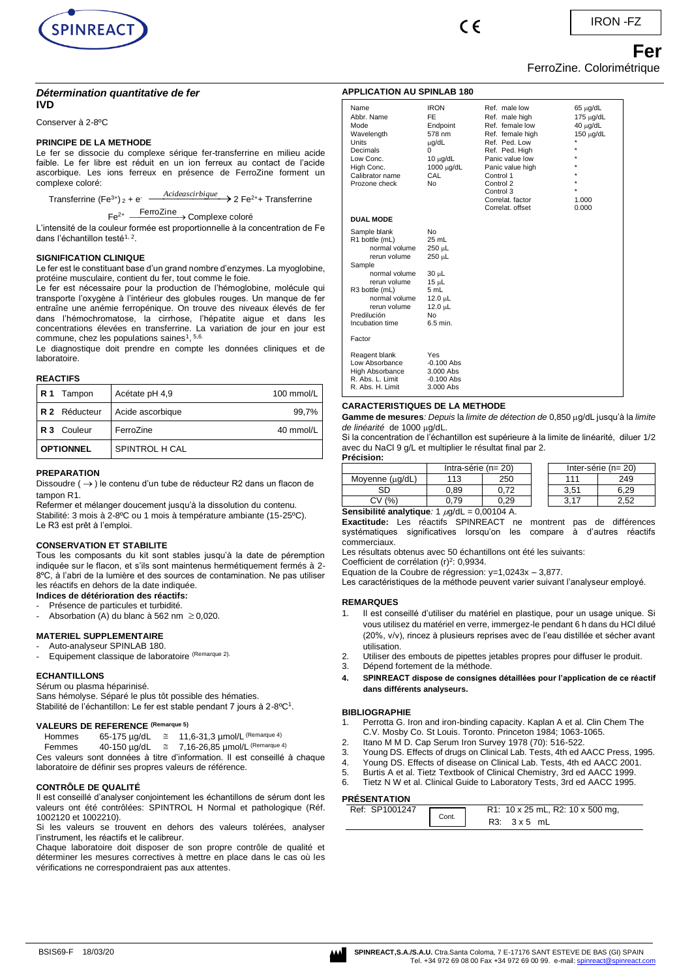

 $\epsilon$ 

IRON -FZ

# *Fering Contract Contract Contract Contract Contract Contract Contract Contract Contract Contract Contract Contract Contract Contract Contract Contract Contract Contract Contract Contract Contract Contract Contract Contra* FerroZine. Colorimétrique

## *Détermination quantitative de fer* **IVD**

Conserver à 2-8ºC

### **PRINCIPE DE LA METHODE**

Le fer se dissocie du complexe sérique fer-transferrine en milieu acide faible. Le fer libre est réduit en un ion ferreux au contact de l'acide ascorbique. Les ions ferreux en présence de FerroZine forment un complexe coloré:

Transferrine (Fe<sup>3+</sup>) <sub>2</sub> + e<sup>-</sup>  $\frac{Acideascribique}{2}$  > 2 Fe<sup>2+</sup>+ Transferrine

# Fe<sup>2+</sup> <del>FerroZine</del> > Complexe coloré

L'intensité de la couleur formée est proportionnelle à la concentration de Fe dans l'échantillon testé<sup>1, 2</sup>.

### **SIGNIFICATION CLINIQUE**

Le fer est le constituant base d'un grand nombre d'enzymes. La myoglobine, protéine musculaire, contient du fer, tout comme le foie.

Le fer est nécessaire pour la production de l'hémoglobine, molécule qui transporte l'oxygène à l'intérieur des globules rouges. Un manque de fer entraîne une anémie ferropénique. On trouve des niveaux élevés de fer dans l'hémochromatose, la cirrhose, l'hépatite aigue et dans les concentrations élevées en transferrine. La variation de jour en jour est commune, chez les populations saines<sup>1</sup>,  $5,6$ .

Le diagnostique doit prendre en compte les données cliniques et de laboratoire.

### **REACTIFS**

| IR1<br>Tampon        | Acétate pH 4,9   | 100 mmol/L |
|----------------------|------------------|------------|
| <b>R 2</b> Réducteur | Acide ascorbique | 99,7%      |
| R 3 Couleur          | FerroZine        | 40 mmol/L  |
| <b>OPTIONNEL</b>     | SPINTROL H CAL   |            |

### **PREPARATION**

Dissoudre (→) le contenu d'un tube de réducteur R2 dans un flacon de tampon R1.

Refermer et mélanger doucement jusqu'à la dissolution du contenu. Stabilité: 3 mois à 2-8ºC ou 1 mois à température ambiante (15-25ºC). Le R3 est prêt à l'emploi.

### **CONSERVATION ET STABILITE**

Tous les composants du kit sont stables jusqu'à la date de péremption indiquée sur le flacon, et s'ils sont maintenus hermétiquement fermés à 2- 8ºC, à l'abri de la lumière et des sources de contamination. Ne pas utiliser les réactifs en dehors de la date indiquée.

### **Indices de détérioration des réactifs:** Présence de particules et turbidité.

- Absorbation (A) du blanc à 562 nm  $\geq$  0,020.

# **MATERIEL SUPPLEMENTAIRE**

Auto-analyseur SPINLAB 180.

Equipement classique de laboratoire (Remarque 2).

### **ECHANTILLONS**

Sérum ou plasma héparinisé.

Sans hémolyse. Séparé le plus tôt possible des hématies. Stabilité de l'échantillon: Le fer est stable pendant 7 jours à 2-8ºC<sup>1</sup>.

### **VALEURS DE REFERENCE (Remarque 5)**

| Hommes | 65-175 µg/dL | 11,6-31,3 µmol/L <sup>(Remarque 4)</sup>  |
|--------|--------------|-------------------------------------------|
| Femmes | 40-150 µg/dL | 7,16-26,85 µmol/L <sup>(Remarque 4)</sup> |

Ces valeurs sont données à titre d'information. Il est conseillé à chaque laboratoire de définir ses propres valeurs de référence.

### **CONTRÔLE DE QUALITÉ**

Il est conseillé d'analyser conjointement les échantillons de sérum dont les valeurs ont été contrôlées: SPINTROL H Normal et pathologique (Réf. 1002120 et 1002210).

Si les valeurs se trouvent en dehors des valeurs tolérées, analyser l'instrument, les réactifs et le calibreur.

Chaque laboratoire doit disposer de son propre contrôle de qualité et déterminer les mesures correctives à mettre en place dans le cas où les vérifications ne correspondraient pas aux attentes.

| <b>APPLICATION AU SPINLAB 180</b>                                                                                                                                                               |                                                                                                                             |                                                                                                                                                                                                                                 |                                                                                                        |  |  |
|-------------------------------------------------------------------------------------------------------------------------------------------------------------------------------------------------|-----------------------------------------------------------------------------------------------------------------------------|---------------------------------------------------------------------------------------------------------------------------------------------------------------------------------------------------------------------------------|--------------------------------------------------------------------------------------------------------|--|--|
| Name<br>Abbr. Name<br>Mode<br>Wavelength<br>Units<br>Decimals<br>Low Conc.<br>High Conc.<br>Calibrator name<br>Prozone check                                                                    | <b>IRON</b><br>FF<br>Endpoint<br>578 nm<br>uq/dL<br>0<br>$10 \mu g/dL$<br>1000 μg/dL<br>CAL<br>N <sub>0</sub>               | Ref. male low<br>Ref. male high<br>Ref. female low<br>Ref. female high<br>Ref. Ped. Low<br>Ref. Ped. High<br>Panic value low<br>Panic value high<br>Control 1<br>Control 2<br>Control 3<br>Correlat, factor<br>Correlat, offset | $65 \mu g/dL$<br>175 µg/dL<br>40 µg/dL<br>150 µg/dL<br>$\star$<br>$\star$<br>$\star$<br>1.000<br>0.000 |  |  |
| <b>DUAL MODE</b>                                                                                                                                                                                |                                                                                                                             |                                                                                                                                                                                                                                 |                                                                                                        |  |  |
| Sample blank<br>R1 bottle (mL)<br>normal volume<br>rerun volume<br>Sample<br>normal volume<br>rerun volume<br>R3 bottle (mL)<br>normal volume<br>rerun volume<br>Predilución<br>Incubation time | N <sub>0</sub><br>25 mL<br>250 µL<br>250 uL<br>30 µL<br>15 µL<br>5 mL<br>12.0 µL<br>12.0 µL<br>N <sub>0</sub><br>$6.5$ min. |                                                                                                                                                                                                                                 |                                                                                                        |  |  |
| Factor                                                                                                                                                                                          |                                                                                                                             |                                                                                                                                                                                                                                 |                                                                                                        |  |  |
| Reagent blank<br>Low Absorbance<br>High Absorbance<br>R. Abs. L. Limit<br>R. Abs. H. Limit                                                                                                      | Yes<br>$-0.100$ Abs<br>3.000 Abs<br>$-0.100$ Abs<br>3.000 Abs                                                               |                                                                                                                                                                                                                                 |                                                                                                        |  |  |

### **CARACTERISTIQUES DE LA METHODE**

Gamme de mesures*: Depuis* la *limite de détection de* 0,850  $\mu$ q/dL jusqu'à la *limite* de linéarité de 1000 ug/dL.

Si la concentration de l'échantillon est supérieure à la limite de linéarité, diluer 1/2 avec du NaCl 9 g/L et multiplier le résultat final par 2. **Précision:**

| 1166801.        |                          |      |  |                          |      |
|-----------------|--------------------------|------|--|--------------------------|------|
|                 | Intra-série ( $n = 20$ ) |      |  | Inter-série ( $n = 20$ ) |      |
| Moyenne (µg/dL) | 113                      | 250  |  | 111                      | 249  |
| SD              | 0.89                     | 0.72 |  | 3.51                     | 6.29 |
| (%<br>C۷        | .79                      | 29.د |  | ? 17                     | 2.52 |
| .<br>-<br>.     | $\cdots$                 | .    |  |                          |      |

**Sensibilité analytique**: 1  $\mu$ g/dL = 0,00104 A.

**Exactitude:** Les réactifs SPINREACT ne montrent pas de différences systématiques significatives lorsqu'on les compare à d'autres réactifs commerciaux.

Les résultats obtenus avec 50 échantillons ont été les suivants:

Coefficient de corrélation (r)<sup>2</sup>: 0,9934.

Equation de la Coubre de régression: y=1,0243x – 3,877.

Les caractéristiques de la méthode peuvent varier suivant l'analyseur employé.

# **REMARQUES**

- 1. Il est conseillé d'utiliser du matériel en plastique, pour un usage unique. Si vous utilisez du matériel en verre, immergez-le pendant 6 h dans du HCl dilué (20%, v/v), rincez à plusieurs reprises avec de l'eau distillée et sécher avant utilisation.
- 2. Utiliser des embouts de pipettes jetables propres pour diffuser le produit.
- 3. Dépend fortement de la méthode.
- **4. SPINREACT dispose de consignes détaillées pour l'application de ce réactif dans différents analyseurs.**

### **BIBLIOGRAPHIE**

- 1. Perrotta G. Iron and iron-binding capacity. Kaplan A et al. Clin Chem The C.V. Mosby Co. St Louis. Toronto. Princeton 1984; 1063-1065.
- 2. Itano M M D. Cap Serum Iron Survey 1978 (70): 516-522.
- 3. Young DS. Effects of drugs on Clinical Lab. Tests, 4th ed AACC Press, 1995.
- 4. Young DS. Effects of disease on Clinical Lab. Tests, 4th ed AACC 2001.
- 5. Burtis A et al. Tietz Textbook of Clinical Chemistry, 3rd ed AACC 1999.
- 6. Tietz N W et al. Clinical Guide to Laboratory Tests, 3rd ed AACC 1995.

# **PRÉSENTATION**

| <b>FINLOLIVIATIVIV</b> |       |                                  |  |  |
|------------------------|-------|----------------------------------|--|--|
| Ref: SP1001247         |       | R1: 10 x 25 mL, R2: 10 x 500 mg, |  |  |
|                        | Cont. | $R3: 3 \times 5$ mL              |  |  |